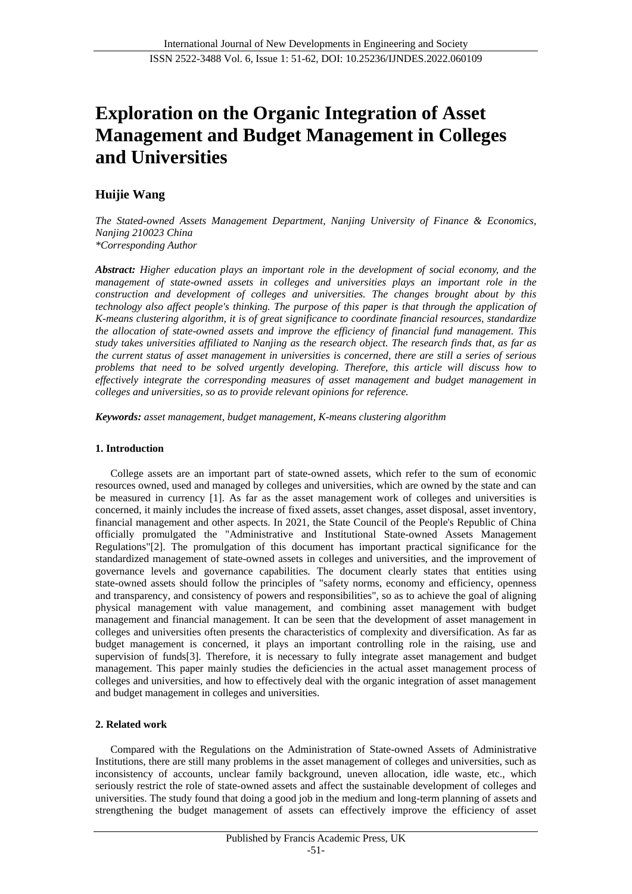# **Exploration on the Organic Integration of Asset Management and Budget Management in Colleges and Universities**

## **Huijie Wang**

*The Stated-owned Assets Management Department, Nanjing University of Finance & Economics, Nanjing 210023 China \*Corresponding Author*

*Abstract: Higher education plays an important role in the development of social economy, and the management of state-owned assets in colleges and universities plays an important role in the construction and development of colleges and universities. The changes brought about by this technology also affect people's thinking. The purpose of this paper is that through the application of K-means clustering algorithm, it is of great significance to coordinate financial resources, standardize the allocation of state-owned assets and improve the efficiency of financial fund management. This study takes universities affiliated to Nanjing as the research object. The research finds that, as far as the current status of asset management in universities is concerned, there are still a series of serious problems that need to be solved urgently developing. Therefore, this article will discuss how to effectively integrate the corresponding measures of asset management and budget management in colleges and universities, so as to provide relevant opinions for reference.*

*Keywords: asset management, budget management, K-means clustering algorithm*

#### **1. Introduction**

College assets are an important part of state-owned assets, which refer to the sum of economic resources owned, used and managed by colleges and universities, which are owned by the state and can be measured in currency [1]. As far as the asset management work of colleges and universities is concerned, it mainly includes the increase of fixed assets, asset changes, asset disposal, asset inventory, financial management and other aspects. In 2021, the State Council of the People's Republic of China officially promulgated the "Administrative and Institutional State-owned Assets Management Regulations"[2]. The promulgation of this document has important practical significance for the standardized management of state-owned assets in colleges and universities, and the improvement of governance levels and governance capabilities. The document clearly states that entities using state-owned assets should follow the principles of "safety norms, economy and efficiency, openness and transparency, and consistency of powers and responsibilities", so as to achieve the goal of aligning physical management with value management, and combining asset management with budget management and financial management. It can be seen that the development of asset management in colleges and universities often presents the characteristics of complexity and diversification. As far as budget management is concerned, it plays an important controlling role in the raising, use and supervision of funds<sup>[3]</sup>. Therefore, it is necessary to fully integrate asset management and budget management. This paper mainly studies the deficiencies in the actual asset management process of colleges and universities, and how to effectively deal with the organic integration of asset management and budget management in colleges and universities.

## **2. Related work**

Compared with the Regulations on the Administration of State-owned Assets of Administrative Institutions, there are still many problems in the asset management of colleges and universities, such as inconsistency of accounts, unclear family background, uneven allocation, idle waste, etc., which seriously restrict the role of state-owned assets and affect the sustainable development of colleges and universities. The study found that doing a good job in the medium and long-term planning of assets and strengthening the budget management of assets can effectively improve the efficiency of asset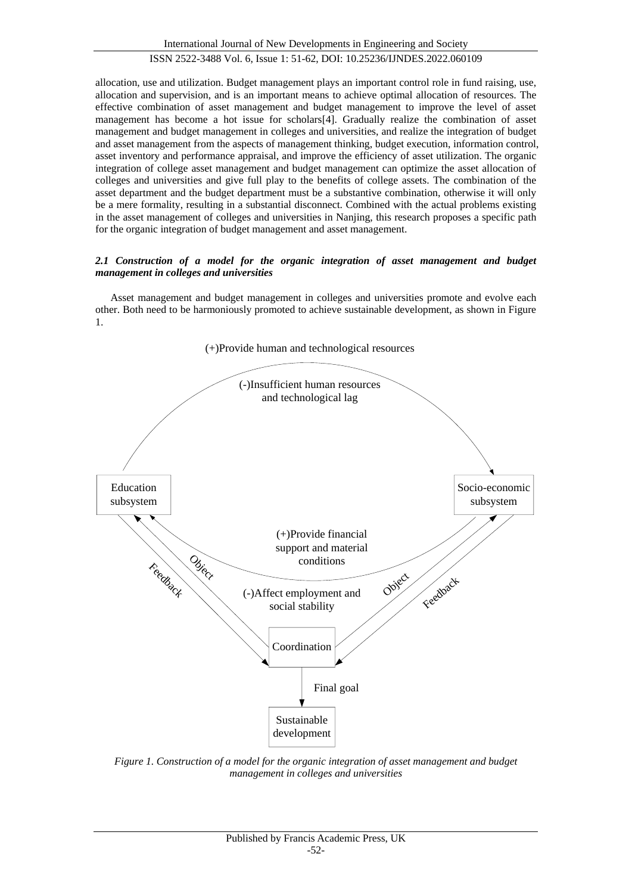allocation, use and utilization. Budget management plays an important control role in fund raising, use, allocation and supervision, and is an important means to achieve optimal allocation of resources. The effective combination of asset management and budget management to improve the level of asset management has become a hot issue for scholars[4]. Gradually realize the combination of asset management and budget management in colleges and universities, and realize the integration of budget and asset management from the aspects of management thinking, budget execution, information control, asset inventory and performance appraisal, and improve the efficiency of asset utilization. The organic integration of college asset management and budget management can optimize the asset allocation of colleges and universities and give full play to the benefits of college assets. The combination of the asset department and the budget department must be a substantive combination, otherwise it will only be a mere formality, resulting in a substantial disconnect. Combined with the actual problems existing in the asset management of colleges and universities in Nanjing, this research proposes a specific path for the organic integration of budget management and asset management.

### *2.1 Construction of a model for the organic integration of asset management and budget management in colleges and universities*

Asset management and budget management in colleges and universities promote and evolve each other. Both need to be harmoniously promoted to achieve sustainable development, as shown in Figure 1.



*Figure 1. Construction of a model for the organic integration of asset management and budget management in colleges and universities*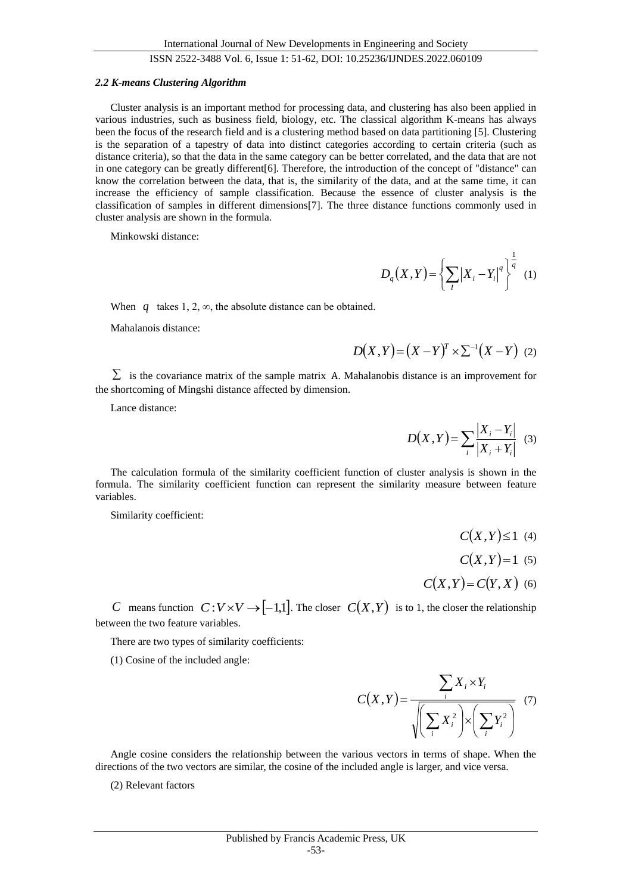#### *2.2 K-means Clustering Algorithm*

Cluster analysis is an important method for processing data, and clustering has also been applied in various industries, such as business field, biology, etc. The classical algorithm K-means has always been the focus of the research field and is a clustering method based on data partitioning [5]. Clustering is the separation of a tapestry of data into distinct categories according to certain criteria (such as distance criteria), so that the data in the same category can be better correlated, and the data that are not in one category can be greatly different[6]. Therefore, the introduction of the concept of "distance" can know the correlation between the data, that is, the similarity of the data, and at the same time, it can increase the efficiency of sample classification. Because the essence of cluster analysis is the classification of samples in different dimensions[7]. The three distance functions commonly used in cluster analysis are shown in the formula.

Minkowski distance:

$$
D_q(X,Y) = \left\{ \sum_{I} |X_i - Y_i|^q \right\}^{\frac{1}{q}}
$$
 (1)

When  $q$  takes 1, 2,  $\infty$ , the absolute distance can be obtained.

Mahalanois distance:

$$
D(X,Y) = (X - Y)^{T} \times \Sigma^{-1} (X - Y) \tag{2}
$$

 $\Sigma$  is the covariance matrix of the sample matrix A. Mahalanobis distance is an improvement for the shortcoming of Mingshi distance affected by dimension.

Lance distance:

$$
D(X,Y) = \sum_{i} \frac{|X_i - Y_i|}{|X_i + Y_i|} \quad (3)
$$

The calculation formula of the similarity coefficient function of cluster analysis is shown in the formula. The similarity coefficient function can represent the similarity measure between feature variables.

Similarity coefficient:

- $C(X,Y) \le 1$  (4)
- $C(X,Y)=1$  (5)
- $C(X, Y) = C(Y, X)$  (6)

*C* means function  $C: V \times V \rightarrow [-1,1]$ . The closer  $C(X,Y)$  is to 1, the closer the relationship between the two feature variables.

There are two types of similarity coefficients:

(1) Cosine of the included angle:

$$
C(X,Y) = \frac{\sum_{i} X_{i} \times Y_{i}}{\sqrt{\left(\sum_{i} X_{i}^{2}\right) \times \left(\sum_{i} Y_{i}^{2}\right)}} \quad (7)
$$

Angle cosine considers the relationship between the various vectors in terms of shape. When the directions of the two vectors are similar, the cosine of the included angle is larger, and vice versa.

(2) Relevant factors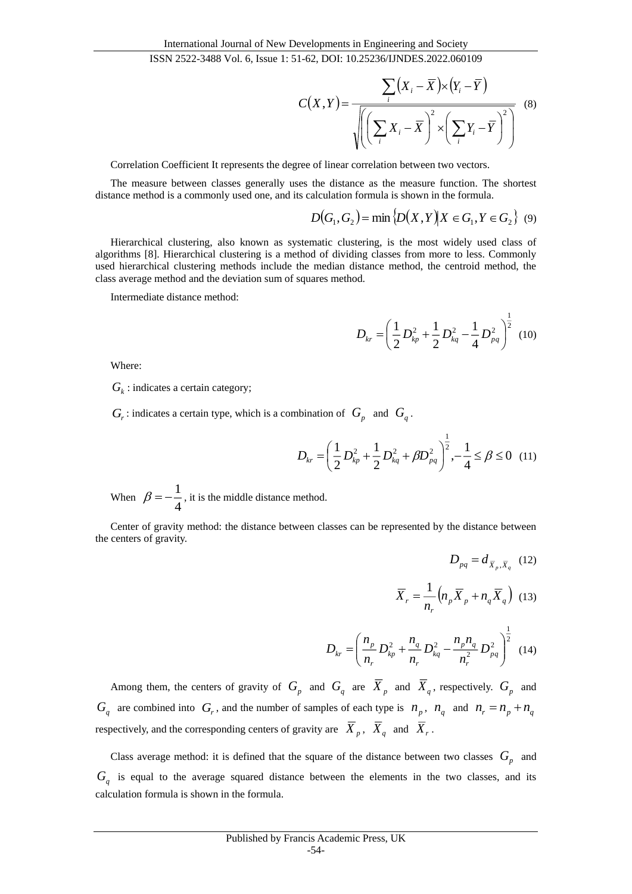$$
C(X,Y) = \frac{\sum_{i} (X_i - \overline{X}) \times (Y_i - \overline{Y})}{\sqrt{\left(\left(\sum_{i} X_i - \overline{X}\right)^2 \times \left(\sum_{i} Y_i - \overline{Y}\right)^2\right)}} \tag{8}
$$

Correlation Coefficient It represents the degree of linear correlation between two vectors.

The measure between classes generally uses the distance as the measure function. The shortest distance method is a commonly used one, and its calculation formula is shown in the formula.

$$
D(G_1, G_2) = \min \{ D(X, Y) | X \in G_1, Y \in G_2 \} \quad (9)
$$

Hierarchical clustering, also known as systematic clustering, is the most widely used class of algorithms [8]. Hierarchical clustering is a method of dividing classes from more to less. Commonly used hierarchical clustering methods include the median distance method, the centroid method, the class average method and the deviation sum of squares method.

Intermediate distance method:

$$
D_{kr} = \left(\frac{1}{2}D_{kp}^2 + \frac{1}{2}D_{kq}^2 - \frac{1}{4}D_{pq}^2\right)^{\frac{1}{2}}
$$
 (10)

Where:

 $G_k$  : indicates a certain category;

 $G_r$ : indicates a certain type, which is a combination of  $G_p$  and  $G_q$ .

$$
D_{kr} = \left(\frac{1}{2}D_{kp}^2 + \frac{1}{2}D_{kq}^2 + \beta D_{pq}^2\right)^{\frac{1}{2}}, -\frac{1}{4} \le \beta \le 0 \quad (11)
$$

When  $\beta = -\frac{1}{4}$  $\beta = -\frac{1}{4}$ , it is the middle distance method.

Center of gravity method: the distance between classes can be represented by the distance between the centers of gravity.

$$
D_{pq} = d_{\overline{X}_p, \overline{X}_q} \quad (12)
$$

$$
\overline{X}_r = \frac{1}{n_r} \left( n_p \overline{X}_p + n_q \overline{X}_q \right) \quad (13)
$$

$$
D_{kr} = \left(\frac{n_p}{n_r}D_{kp}^2 + \frac{n_q}{n_r}D_{kq}^2 - \frac{n_p n_q}{n_r^2}D_{pq}^2\right)^{\frac{1}{2}}
$$
(14)

Among them, the centers of gravity of  $G_p$  and  $G_q$  are  $X_p$  and  $X_q$ , respectively.  $G_p$  and  $G_q$  are combined into  $G_r$ , and the number of samples of each type is  $n_p$ ,  $n_q$  and  $n_r = n_p + n_q$ respectively, and the corresponding centers of gravity are  $X_p$ ,  $X_q$  and  $X_r$ .

Class average method: it is defined that the square of the distance between two classes  $G_p$  and *Gq* is equal to the average squared distance between the elements in the two classes, and its calculation formula is shown in the formula.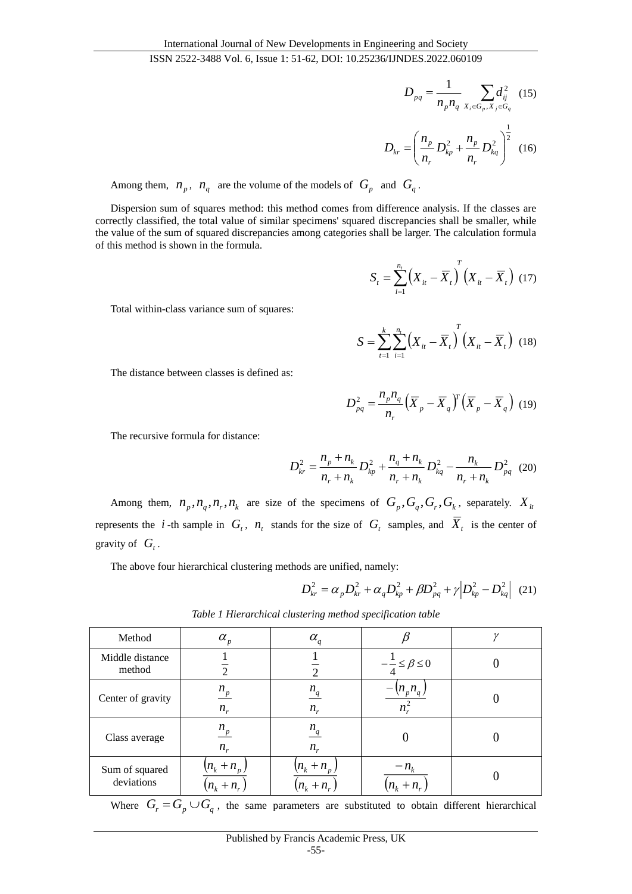$$
00 V01, 0, 1550V1, 31 V2, 101 V1, 101232300 J1V101532022000103
$$

$$
D_{pq} = \frac{1}{n_p n_q} \sum_{X_i \in G_p, X_j \in G_q} d_{ij}^2 \quad (15)
$$

$$
D_{kr} = \left(\frac{n_p}{n_r} D_{kp}^2 + \frac{n_p}{n_r} D_{kq}^2\right)^2 \quad (16)
$$

Among them,  $n_p$ ,  $n_q$  are the volume of the models of  $G_p$  and  $G_q$ .

Dispersion sum of squares method: this method comes from difference analysis. If the classes are correctly classified, the total value of similar specimens' squared discrepancies shall be smaller, while the value of the sum of squared discrepancies among categories shall be larger. The calculation formula of this method is shown in the formula.

$$
S_{t} = \sum_{i=1}^{n_{t}} \left( X_{it} - \overline{X}_{t} \right)^{T} \left( X_{it} - \overline{X}_{t} \right) (17)
$$

Total within-class variance sum of squares:

$$
S = \sum_{t=1}^{k} \sum_{i=1}^{n_t} \left( X_{it} - \overline{X}_t \right)^T \left( X_{it} - \overline{X}_t \right) (18)
$$

The distance between classes is defined as:

$$
D_{pq}^2 = \frac{n_p n_q}{n_r} \left(\overline{X}_p - \overline{X}_q\right)^r \left(\overline{X}_p - \overline{X}_q\right) (19)
$$

The recursive formula for distance:

$$
D_{kr}^{2} = \frac{n_{p} + n_{k}}{n_{r} + n_{k}} D_{kp}^{2} + \frac{n_{q} + n_{k}}{n_{r} + n_{k}} D_{kq}^{2} - \frac{n_{k}}{n_{r} + n_{k}} D_{pq}^{2}
$$
 (20)

Among them,  $n_p, n_q, n_r, n_k$  are size of the specimens of  $G_p, G_q, G_r, G_k$ , separately.  $X_i$ represents the *i*-th sample in  $G_t$ ,  $n_t$  stands for the size of  $G_t$  samples, and  $X_t$  is the center of gravity of  $G_t$ .

The above four hierarchical clustering methods are unified, namely:

$$
D_{kr}^{2} = \alpha_{p} D_{kr}^{2} + \alpha_{q} D_{kp}^{2} + \beta D_{pq}^{2} + \gamma \left| D_{kp}^{2} - D_{kq}^{2} \right| (21)
$$

| Method                       | $\alpha_{\scriptscriptstyle p}^{}$        | $\alpha_q$                   |                                  |  |
|------------------------------|-------------------------------------------|------------------------------|----------------------------------|--|
| Middle distance<br>method    |                                           |                              | $-\frac{1}{4} \leq \beta \leq 0$ |  |
| Center of gravity            | $n_p$<br>$n_r$                            | $n_q$<br>$n_r$               | $(n_p n_q)$<br>$n_r^2$           |  |
| Class average                | $n_p$<br>$n_r$                            | $n_q$<br>$n_r$               |                                  |  |
| Sum of squared<br>deviations | $\left(n_k+n_{p}\right)$<br>$(n_k + n_r)$ | $(n_k + n_p)$<br>$n_k + n_r$ | $-n_{k}$<br>$(n_k + n_r)$        |  |

*Table 1 Hierarchical clustering method specification table*

Where  $G_r = G_p \cup G_q$ , the same parameters are substituted to obtain different hierarchical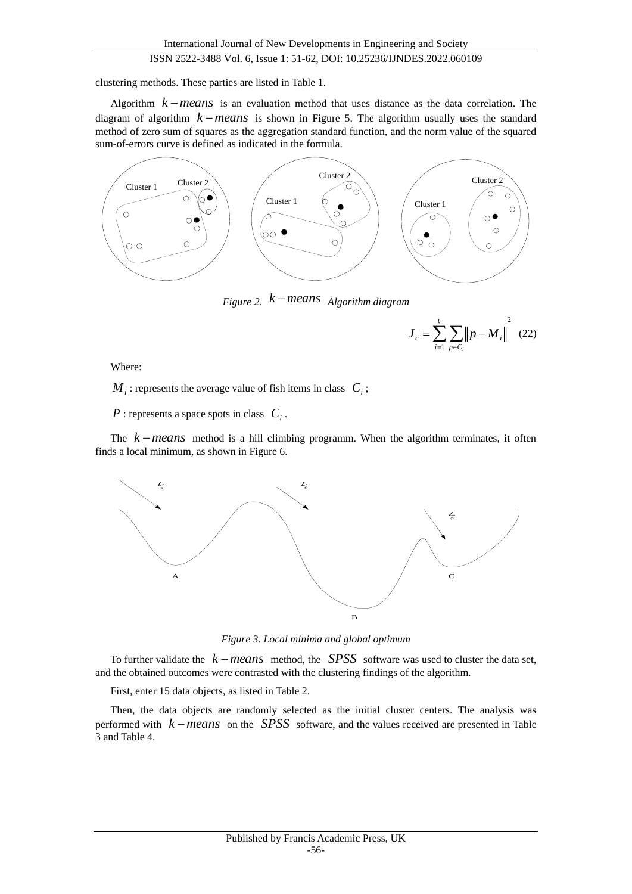clustering methods. These parties are listed in Table 1.

Algorithm  $k$  *means* is an evaluation method that uses distance as the data correlation. The diagram of algorithm  $k$ *-means* is shown in Figure 5. The algorithm usually uses the standard method of zero sum of squares as the aggregation standard function, and the norm value of the squared sum-of-errors curve is defined as indicated in the formula.



*Figure 2. k means Algorithm diagram*

$$
J_c = \sum_{i=1}^{k} \sum_{p \in C_i} ||p - M_i||^2
$$
 (22)

Where:

 $M_i$ : represents the average value of fish items in class  $C_i$ ;

*P* : represents a space spots in class *Ci* .

The  $k$  – means method is a hill climbing programm. When the algorithm terminates, it often finds a local minimum, as shown in Figure 6.



*Figure 3. Local minima and global optimum*

To further validate the *k means* method, the *SPSS* software was used to cluster the data set, and the obtained outcomes were contrasted with the clustering findings of the algorithm.

First, enter 15 data objects, as listed in Table 2.

Then, the data objects are randomly selected as the initial cluster centers. The analysis was performed with  $k$  – means on the *SPSS* software, and the values received are presented in Table 3 and Table 4.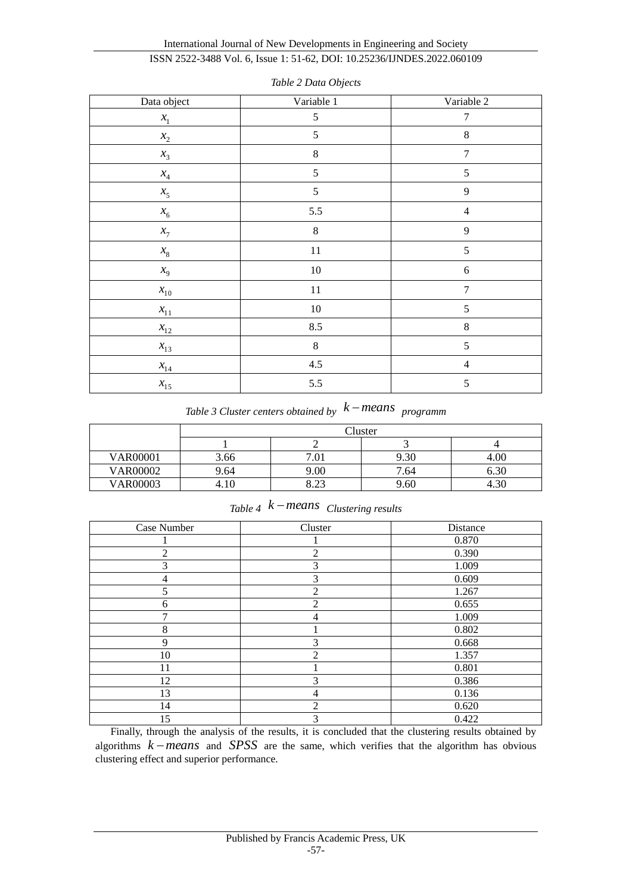## International Journal of New Developments in Engineering and Society

# ISSN 2522-3488 Vol. 6, Issue 1: 51-62, DOI: 10.25236/IJNDES.2022.060109

| Data object                       | Variable 1 | Variable 2       |
|-----------------------------------|------------|------------------|
| $x_{1}$                           | 5          | $\boldsymbol{7}$ |
| $\boldsymbol{x_2}$                | 5          | $\,8\,$          |
| $x_3$                             | $\,8\,$    | $\tau$           |
| $\mathcal{X}_4$                   | 5          | 5                |
| $x_5$                             | 5          | $\overline{9}$   |
| $x_{\rm 6}$                       | 5.5        | $\overline{4}$   |
| $x_{7}$                           | $\,8\,$    | $\overline{9}$   |
| $x_{\rm 8}$                       | 11         | 5                |
| $x_{9}$                           | 10         | $\sqrt{6}$       |
| $x_{\!\scriptscriptstyle 10}$     | $11\,$     | $\overline{7}$   |
| $\boldsymbol{\mathcal{X}}_{\!11}$ | 10         | $\mathfrak s$    |
| $x_{12}$                          | 8.5        | $\,8\,$          |
| $x_{13}$                          | $\,8\,$    | $\sqrt{5}$       |
| $\mathcal{X}_{14}$                | 4.5        | $\overline{4}$   |
| $x_{15}$                          | 5.5        | 5                |

*Table 2 Data Objects*

*Table 3 Cluster centers obtained by k means programm*

|                 | Cluster |              |      |      |
|-----------------|---------|--------------|------|------|
|                 |         |              |      |      |
| <b>VAR00001</b> | 3.66    |              | 9.30 | 4.00 |
| <b>VAR00002</b> | 9.64    | 9.00         | 7.64 | 6.30 |
| <b>VAR00003</b> | 4.10    | ററ<br>$0.4-$ | 9.60 | 4.3U |

|  |  | Table 4 $k$ – means Clustering results |
|--|--|----------------------------------------|
|--|--|----------------------------------------|

| Case Number    | Cluster        | Distance |
|----------------|----------------|----------|
|                |                | 0.870    |
| $\overline{2}$ | $\overline{2}$ | 0.390    |
| 3              | 3              | 1.009    |
| 4              | 3              | 0.609    |
| 5              | $\overline{2}$ | 1.267    |
| 6              | $\overline{2}$ | 0.655    |
| 7              | 4              | 1.009    |
| 8              |                | 0.802    |
| 9              | 3              | 0.668    |
| 10             | $\mathfrak{D}$ | 1.357    |
| 11             |                | 0.801    |
| 12             | 3              | 0.386    |
| 13             | 4              | 0.136    |
| 14             | $\mathfrak{2}$ | 0.620    |
| 15             | 3              | 0.422    |

Finally, through the analysis of the results, it is concluded that the clustering results obtained by algorithms  $k$ -means and SPSS are the same, which verifies that the algorithm has obvious clustering effect and superior performance.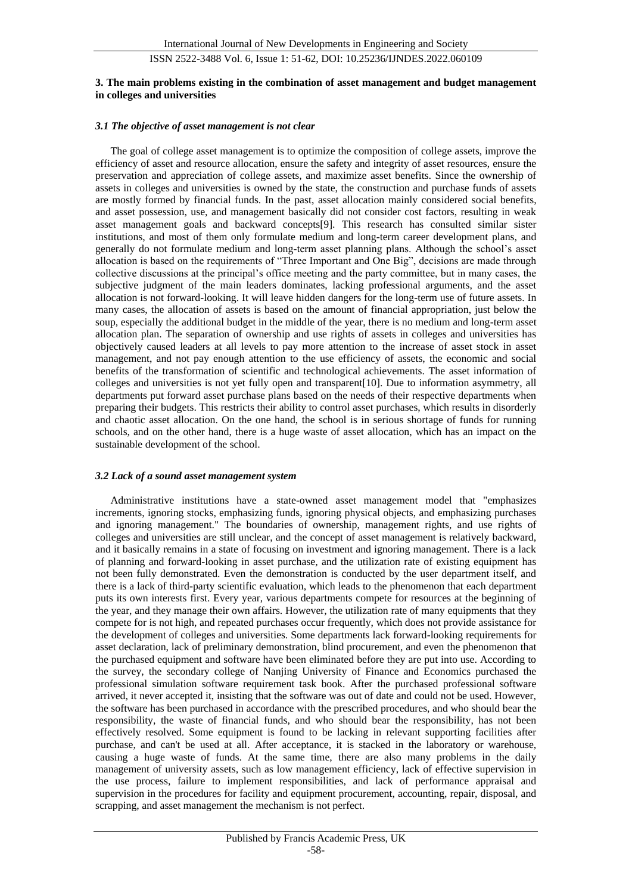#### **3. The main problems existing in the combination of asset management and budget management in colleges and universities**

#### *3.1 The objective of asset management is not clear*

The goal of college asset management is to optimize the composition of college assets, improve the efficiency of asset and resource allocation, ensure the safety and integrity of asset resources, ensure the preservation and appreciation of college assets, and maximize asset benefits. Since the ownership of assets in colleges and universities is owned by the state, the construction and purchase funds of assets are mostly formed by financial funds. In the past, asset allocation mainly considered social benefits, and asset possession, use, and management basically did not consider cost factors, resulting in weak asset management goals and backward concepts[9]. This research has consulted similar sister institutions, and most of them only formulate medium and long-term career development plans, and generally do not formulate medium and long-term asset planning plans. Although the school's asset allocation is based on the requirements of "Three Important and One Big", decisions are made through collective discussions at the principal's office meeting and the party committee, but in many cases, the subjective judgment of the main leaders dominates, lacking professional arguments, and the asset allocation is not forward-looking. It will leave hidden dangers for the long-term use of future assets. In many cases, the allocation of assets is based on the amount of financial appropriation, just below the soup, especially the additional budget in the middle of the year, there is no medium and long-term asset allocation plan. The separation of ownership and use rights of assets in colleges and universities has objectively caused leaders at all levels to pay more attention to the increase of asset stock in asset management, and not pay enough attention to the use efficiency of assets, the economic and social benefits of the transformation of scientific and technological achievements. The asset information of colleges and universities is not yet fully open and transparent[10]. Due to information asymmetry, all departments put forward asset purchase plans based on the needs of their respective departments when preparing their budgets. This restricts their ability to control asset purchases, which results in disorderly and chaotic asset allocation. On the one hand, the school is in serious shortage of funds for running schools, and on the other hand, there is a huge waste of asset allocation, which has an impact on the sustainable development of the school.

#### *3.2 Lack of a sound asset management system*

Administrative institutions have a state-owned asset management model that "emphasizes increments, ignoring stocks, emphasizing funds, ignoring physical objects, and emphasizing purchases and ignoring management." The boundaries of ownership, management rights, and use rights of colleges and universities are still unclear, and the concept of asset management is relatively backward, and it basically remains in a state of focusing on investment and ignoring management. There is a lack of planning and forward-looking in asset purchase, and the utilization rate of existing equipment has not been fully demonstrated. Even the demonstration is conducted by the user department itself, and there is a lack of third-party scientific evaluation, which leads to the phenomenon that each department puts its own interests first. Every year, various departments compete for resources at the beginning of the year, and they manage their own affairs. However, the utilization rate of many equipments that they compete for is not high, and repeated purchases occur frequently, which does not provide assistance for the development of colleges and universities. Some departments lack forward-looking requirements for asset declaration, lack of preliminary demonstration, blind procurement, and even the phenomenon that the purchased equipment and software have been eliminated before they are put into use. According to the survey, the secondary college of Nanjing University of Finance and Economics purchased the professional simulation software requirement task book. After the purchased professional software arrived, it never accepted it, insisting that the software was out of date and could not be used. However, the software has been purchased in accordance with the prescribed procedures, and who should bear the responsibility, the waste of financial funds, and who should bear the responsibility, has not been effectively resolved. Some equipment is found to be lacking in relevant supporting facilities after purchase, and can't be used at all. After acceptance, it is stacked in the laboratory or warehouse, causing a huge waste of funds. At the same time, there are also many problems in the daily management of university assets, such as low management efficiency, lack of effective supervision in the use process, failure to implement responsibilities, and lack of performance appraisal and supervision in the procedures for facility and equipment procurement, accounting, repair, disposal, and scrapping, and asset management the mechanism is not perfect.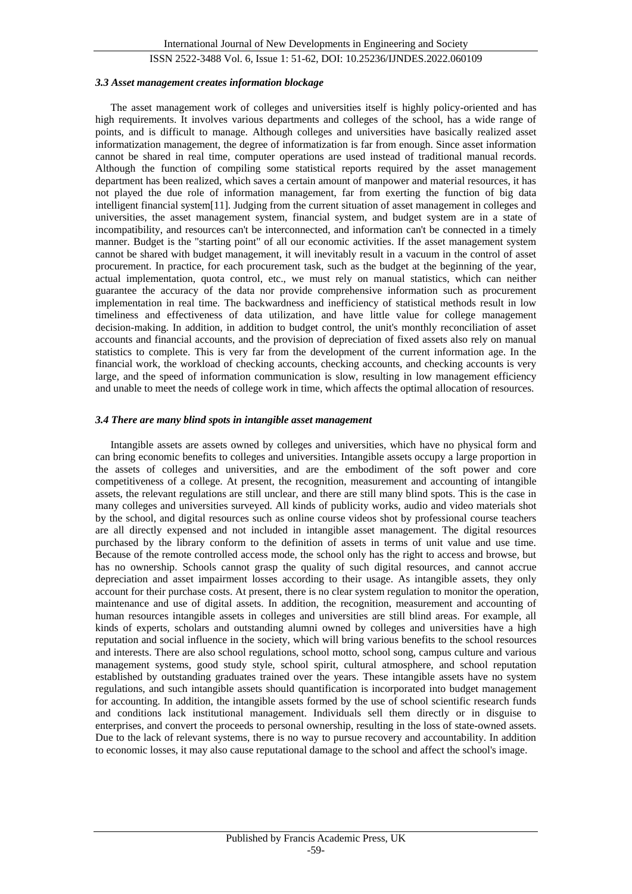#### *3.3 Asset management creates information blockage*

The asset management work of colleges and universities itself is highly policy-oriented and has high requirements. It involves various departments and colleges of the school, has a wide range of points, and is difficult to manage. Although colleges and universities have basically realized asset informatization management, the degree of informatization is far from enough. Since asset information cannot be shared in real time, computer operations are used instead of traditional manual records. Although the function of compiling some statistical reports required by the asset management department has been realized, which saves a certain amount of manpower and material resources, it has not played the due role of information management, far from exerting the function of big data intelligent financial system[11]. Judging from the current situation of asset management in colleges and universities, the asset management system, financial system, and budget system are in a state of incompatibility, and resources can't be interconnected, and information can't be connected in a timely manner. Budget is the "starting point" of all our economic activities. If the asset management system cannot be shared with budget management, it will inevitably result in a vacuum in the control of asset procurement. In practice, for each procurement task, such as the budget at the beginning of the year, actual implementation, quota control, etc., we must rely on manual statistics, which can neither guarantee the accuracy of the data nor provide comprehensive information such as procurement implementation in real time. The backwardness and inefficiency of statistical methods result in low timeliness and effectiveness of data utilization, and have little value for college management decision-making. In addition, in addition to budget control, the unit's monthly reconciliation of asset accounts and financial accounts, and the provision of depreciation of fixed assets also rely on manual statistics to complete. This is very far from the development of the current information age. In the financial work, the workload of checking accounts, checking accounts, and checking accounts is very large, and the speed of information communication is slow, resulting in low management efficiency and unable to meet the needs of college work in time, which affects the optimal allocation of resources.

#### *3.4 There are many blind spots in intangible asset management*

Intangible assets are assets owned by colleges and universities, which have no physical form and can bring economic benefits to colleges and universities. Intangible assets occupy a large proportion in the assets of colleges and universities, and are the embodiment of the soft power and core competitiveness of a college. At present, the recognition, measurement and accounting of intangible assets, the relevant regulations are still unclear, and there are still many blind spots. This is the case in many colleges and universities surveyed. All kinds of publicity works, audio and video materials shot by the school, and digital resources such as online course videos shot by professional course teachers are all directly expensed and not included in intangible asset management. The digital resources purchased by the library conform to the definition of assets in terms of unit value and use time. Because of the remote controlled access mode, the school only has the right to access and browse, but has no ownership. Schools cannot grasp the quality of such digital resources, and cannot accrue depreciation and asset impairment losses according to their usage. As intangible assets, they only account for their purchase costs. At present, there is no clear system regulation to monitor the operation, maintenance and use of digital assets. In addition, the recognition, measurement and accounting of human resources intangible assets in colleges and universities are still blind areas. For example, all kinds of experts, scholars and outstanding alumni owned by colleges and universities have a high reputation and social influence in the society, which will bring various benefits to the school resources and interests. There are also school regulations, school motto, school song, campus culture and various management systems, good study style, school spirit, cultural atmosphere, and school reputation established by outstanding graduates trained over the years. These intangible assets have no system regulations, and such intangible assets should quantification is incorporated into budget management for accounting. In addition, the intangible assets formed by the use of school scientific research funds and conditions lack institutional management. Individuals sell them directly or in disguise to enterprises, and convert the proceeds to personal ownership, resulting in the loss of state-owned assets. Due to the lack of relevant systems, there is no way to pursue recovery and accountability. In addition to economic losses, it may also cause reputational damage to the school and affect the school's image.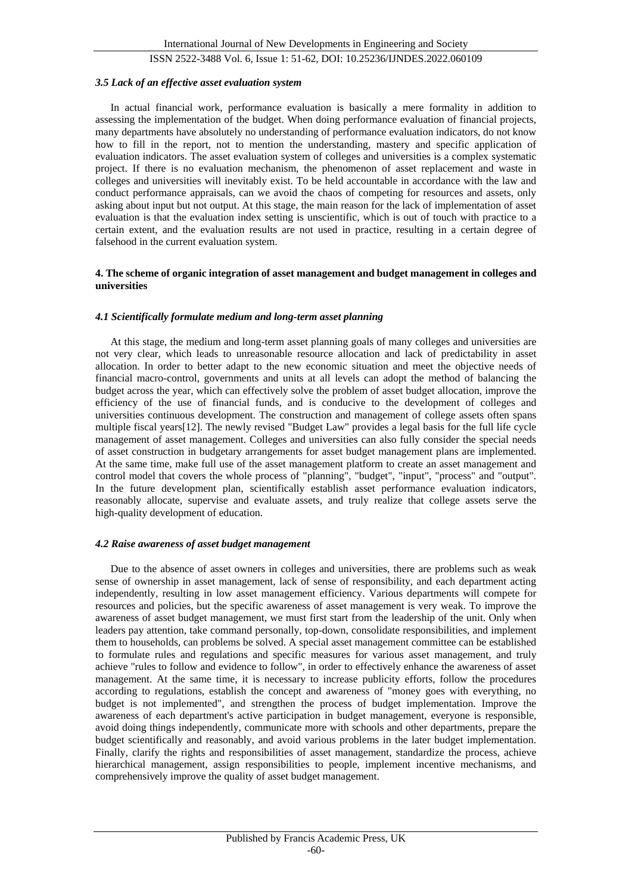#### *3.5 Lack of an effective asset evaluation system*

In actual financial work, performance evaluation is basically a mere formality in addition to assessing the implementation of the budget. When doing performance evaluation of financial projects, many departments have absolutely no understanding of performance evaluation indicators, do not know how to fill in the report, not to mention the understanding, mastery and specific application of evaluation indicators. The asset evaluation system of colleges and universities is a complex systematic project. If there is no evaluation mechanism, the phenomenon of asset replacement and waste in colleges and universities will inevitably exist. To be held accountable in accordance with the law and conduct performance appraisals, can we avoid the chaos of competing for resources and assets, only asking about input but not output. At this stage, the main reason for the lack of implementation of asset evaluation is that the evaluation index setting is unscientific, which is out of touch with practice to a certain extent, and the evaluation results are not used in practice, resulting in a certain degree of falsehood in the current evaluation system.

#### **4. The scheme of organic integration of asset management and budget management in colleges and universities**

#### *4.1 Scientifically formulate medium and long-term asset planning*

At this stage, the medium and long-term asset planning goals of many colleges and universities are not very clear, which leads to unreasonable resource allocation and lack of predictability in asset allocation. In order to better adapt to the new economic situation and meet the objective needs of financial macro-control, governments and units at all levels can adopt the method of balancing the budget across the year, which can effectively solve the problem of asset budget allocation, improve the efficiency of the use of financial funds, and is conducive to the development of colleges and universities continuous development. The construction and management of college assets often spans multiple fiscal years[12]. The newly revised "Budget Law" provides a legal basis for the full life cycle management of asset management. Colleges and universities can also fully consider the special needs of asset construction in budgetary arrangements for asset budget management plans are implemented. At the same time, make full use of the asset management platform to create an asset management and control model that covers the whole process of "planning", "budget", "input", "process" and "output". In the future development plan, scientifically establish asset performance evaluation indicators, reasonably allocate, supervise and evaluate assets, and truly realize that college assets serve the high-quality development of education.

#### *4.2 Raise awareness of asset budget management*

Due to the absence of asset owners in colleges and universities, there are problems such as weak sense of ownership in asset management, lack of sense of responsibility, and each department acting independently, resulting in low asset management efficiency. Various departments will compete for resources and policies, but the specific awareness of asset management is very weak. To improve the awareness of asset budget management, we must first start from the leadership of the unit. Only when leaders pay attention, take command personally, top-down, consolidate responsibilities, and implement them to households, can problems be solved. A special asset management committee can be established to formulate rules and regulations and specific measures for various asset management, and truly achieve "rules to follow and evidence to follow", in order to effectively enhance the awareness of asset management. At the same time, it is necessary to increase publicity efforts, follow the procedures according to regulations, establish the concept and awareness of "money goes with everything, no budget is not implemented", and strengthen the process of budget implementation. Improve the awareness of each department's active participation in budget management, everyone is responsible, avoid doing things independently, communicate more with schools and other departments, prepare the budget scientifically and reasonably, and avoid various problems in the later budget implementation. Finally, clarify the rights and responsibilities of asset management, standardize the process, achieve hierarchical management, assign responsibilities to people, implement incentive mechanisms, and comprehensively improve the quality of asset budget management.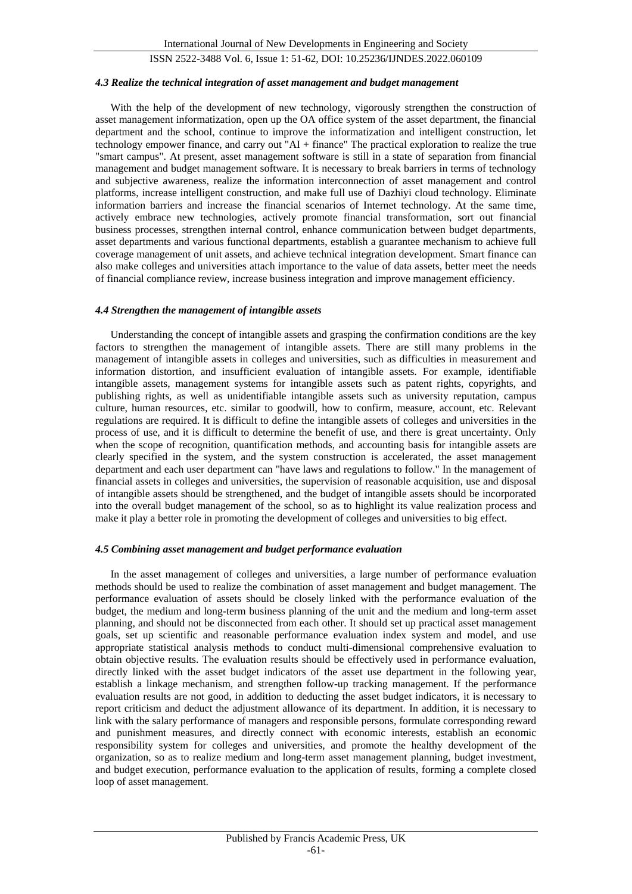#### *4.3 Realize the technical integration of asset management and budget management*

With the help of the development of new technology, vigorously strengthen the construction of asset management informatization, open up the OA office system of the asset department, the financial department and the school, continue to improve the informatization and intelligent construction, let technology empower finance, and carry out "AI + finance" The practical exploration to realize the true "smart campus". At present, asset management software is still in a state of separation from financial management and budget management software. It is necessary to break barriers in terms of technology and subjective awareness, realize the information interconnection of asset management and control platforms, increase intelligent construction, and make full use of Dazhiyi cloud technology. Eliminate information barriers and increase the financial scenarios of Internet technology. At the same time, actively embrace new technologies, actively promote financial transformation, sort out financial business processes, strengthen internal control, enhance communication between budget departments, asset departments and various functional departments, establish a guarantee mechanism to achieve full coverage management of unit assets, and achieve technical integration development. Smart finance can also make colleges and universities attach importance to the value of data assets, better meet the needs of financial compliance review, increase business integration and improve management efficiency.

#### *4.4 Strengthen the management of intangible assets*

Understanding the concept of intangible assets and grasping the confirmation conditions are the key factors to strengthen the management of intangible assets. There are still many problems in the management of intangible assets in colleges and universities, such as difficulties in measurement and information distortion, and insufficient evaluation of intangible assets. For example, identifiable intangible assets, management systems for intangible assets such as patent rights, copyrights, and publishing rights, as well as unidentifiable intangible assets such as university reputation, campus culture, human resources, etc. similar to goodwill, how to confirm, measure, account, etc. Relevant regulations are required. It is difficult to define the intangible assets of colleges and universities in the process of use, and it is difficult to determine the benefit of use, and there is great uncertainty. Only when the scope of recognition, quantification methods, and accounting basis for intangible assets are clearly specified in the system, and the system construction is accelerated, the asset management department and each user department can "have laws and regulations to follow." In the management of financial assets in colleges and universities, the supervision of reasonable acquisition, use and disposal of intangible assets should be strengthened, and the budget of intangible assets should be incorporated into the overall budget management of the school, so as to highlight its value realization process and make it play a better role in promoting the development of colleges and universities to big effect.

#### *4.5 Combining asset management and budget performance evaluation*

In the asset management of colleges and universities, a large number of performance evaluation methods should be used to realize the combination of asset management and budget management. The performance evaluation of assets should be closely linked with the performance evaluation of the budget, the medium and long-term business planning of the unit and the medium and long-term asset planning, and should not be disconnected from each other. It should set up practical asset management goals, set up scientific and reasonable performance evaluation index system and model, and use appropriate statistical analysis methods to conduct multi-dimensional comprehensive evaluation to obtain objective results. The evaluation results should be effectively used in performance evaluation, directly linked with the asset budget indicators of the asset use department in the following year, establish a linkage mechanism, and strengthen follow-up tracking management. If the performance evaluation results are not good, in addition to deducting the asset budget indicators, it is necessary to report criticism and deduct the adjustment allowance of its department. In addition, it is necessary to link with the salary performance of managers and responsible persons, formulate corresponding reward and punishment measures, and directly connect with economic interests, establish an economic responsibility system for colleges and universities, and promote the healthy development of the organization, so as to realize medium and long-term asset management planning, budget investment, and budget execution, performance evaluation to the application of results, forming a complete closed loop of asset management.